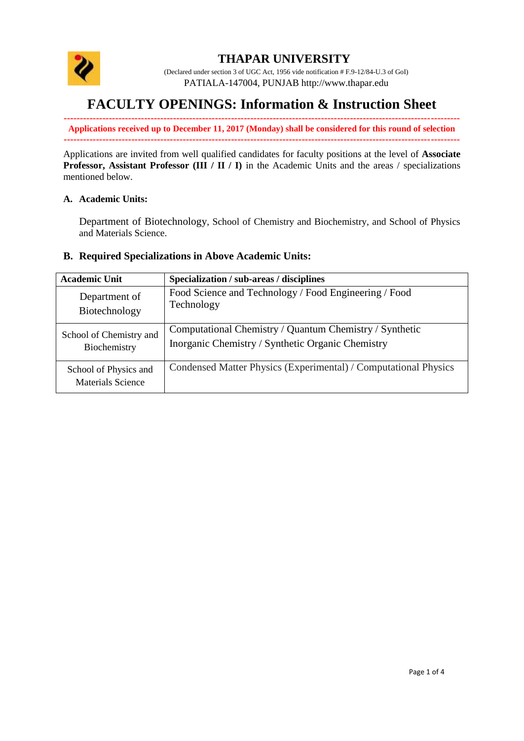

## **THAPAR UNIVERSITY**

(Declared under section 3 of UGC Act, 1956 vide notification # F.9-12/84-U.3 of GoI) PATIALA-147004, PUNJAB http:/[/www.thapar.edu](http://www.thapar.edu/)

# **FACULTY OPENINGS: Information & Instruction Sheet**

**--------------------------------------------------------------------------------------------------------------------------- Applications received up to December 11, 2017 (Monday) shall be considered for this round of selection ---------------------------------------------------------------------------------------------------------------------------**

Applications are invited from well qualified candidates for faculty positions at the level of **Associate Professor, Assistant Professor (III / II / I)** in the Academic Units and the areas / specializations mentioned below.

#### **A. Academic Units:**

Department of Biotechnology, School of Chemistry and Biochemistry, and School of Physics and Materials Science.

#### **B. Required Specializations in Above Academic Units:**

| <b>Academic Unit</b>                              | Specialization / sub-areas / disciplines                        |
|---------------------------------------------------|-----------------------------------------------------------------|
| Department of                                     | Food Science and Technology / Food Engineering / Food           |
| Biotechnology                                     | Technology                                                      |
| School of Chemistry and                           | Computational Chemistry / Quantum Chemistry / Synthetic         |
| Biochemistry                                      | Inorganic Chemistry / Synthetic Organic Chemistry               |
| School of Physics and<br><b>Materials Science</b> | Condensed Matter Physics (Experimental) / Computational Physics |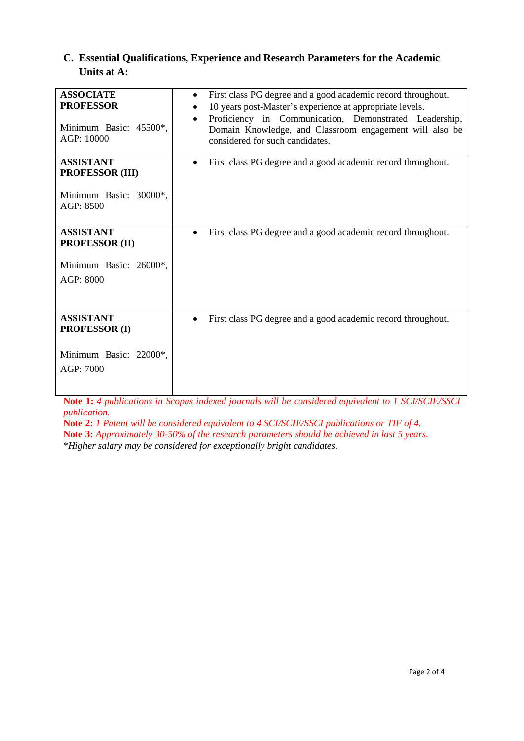### **C. Essential Qualifications, Experience and Research Parameters for the Academic Units at A:**

| <b>ASSOCIATE</b><br><b>PROFESSOR</b><br>Minimum Basic: 45500*,<br>AGP: 10000      | First class PG degree and a good academic record throughout.<br>$\bullet$<br>10 years post-Master's experience at appropriate levels.<br>Proficiency in Communication, Demonstrated Leadership,<br>Domain Knowledge, and Classroom engagement will also be<br>considered for such candidates. |
|-----------------------------------------------------------------------------------|-----------------------------------------------------------------------------------------------------------------------------------------------------------------------------------------------------------------------------------------------------------------------------------------------|
| <b>ASSISTANT</b><br><b>PROFESSOR (III)</b><br>Minimum Basic: 30000*,<br>AGP: 8500 | First class PG degree and a good academic record throughout.<br>$\bullet$                                                                                                                                                                                                                     |
| <b>ASSISTANT</b><br><b>PROFESSOR (II)</b><br>Minimum Basic: 26000*,<br>AGP: 8000  | First class PG degree and a good academic record throughout.                                                                                                                                                                                                                                  |
| <b>ASSISTANT</b><br><b>PROFESSOR (I)</b><br>Minimum Basic: 22000*,<br>AGP: 7000   | First class PG degree and a good academic record throughout.                                                                                                                                                                                                                                  |

**Note 1:** *4 publications in Scopus indexed journals will be considered equivalent to 1 SCI/SCIE/SSCI publication.*

**Note 2:** *1 Patent will be considered equivalent to 4 SCI/SCIE/SSCI publications or TIF of 4.* **Note 3:** *Approximately 30-50% of the research parameters should be achieved in last 5 years.* \**Higher salary may be considered for exceptionally bright candidates*.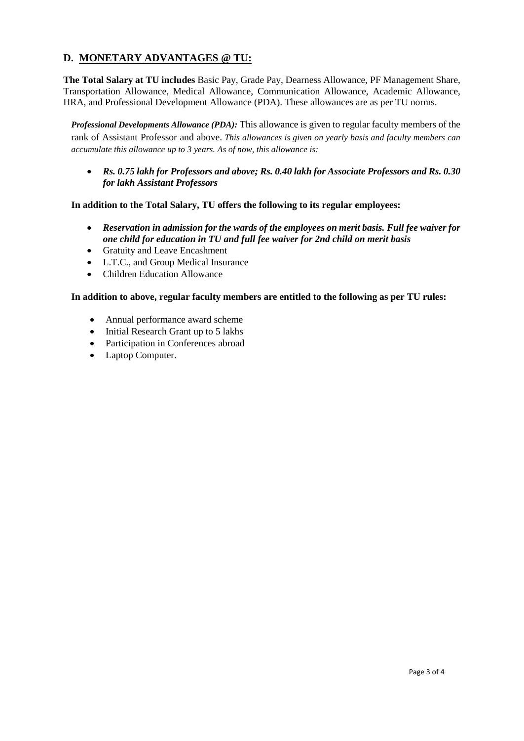## **D. MONETARY ADVANTAGES @ TU:**

**The Total Salary at TU includes** Basic Pay, Grade Pay, Dearness Allowance, PF Management Share, Transportation Allowance, Medical Allowance, Communication Allowance, Academic Allowance, HRA, and Professional Development Allowance (PDA). These allowances are as per TU norms.

*Professional Developments Allowance (PDA):* This allowance is given to regular faculty members of the rank of Assistant Professor and above. *This allowances is given on yearly basis and faculty members can accumulate this allowance up to 3 years. As of now, this allowance is:*

 *Rs. 0.75 lakh for Professors and above; Rs. 0.40 lakh for Associate Professors and Rs. 0.30 for lakh Assistant Professors*

**In addition to the Total Salary, TU offers the following to its regular employees:**

- *Reservation in admission for the wards of the employees on merit basis. Full fee waiver for one child for education in TU and full fee waiver for 2nd child on merit basis*
- Gratuity and Leave Encashment
- L.T.C., and Group Medical Insurance
- Children Education Allowance

**In addition to above, regular faculty members are entitled to the following as per TU rules:**

- Annual performance award scheme
- Initial Research Grant up to 5 lakhs
- Participation in Conferences abroad
- Laptop Computer.